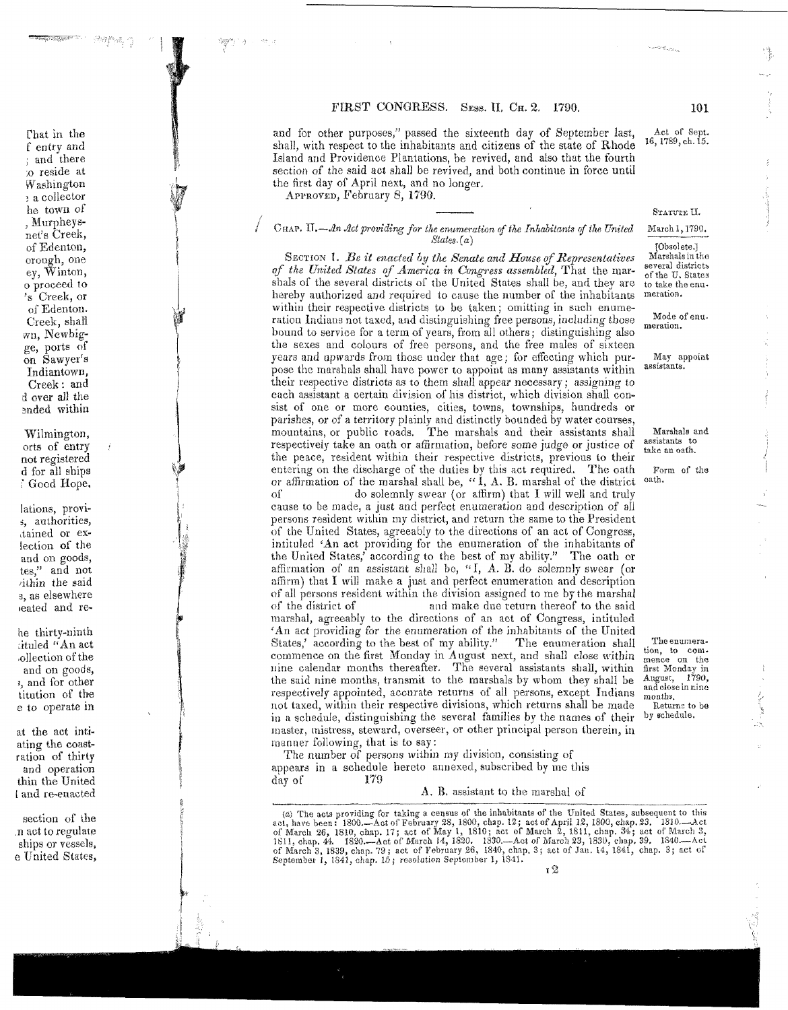and for other purposes," passed the sixteenth day of September last, shall, with respect to the inhabitants and citizens of the state of Rhode Island and Providence Plantations, be revived, and also that the tourth seetion of the said act shall be revived, and both continue in force until the first day of April next, and no longer.

Approved, February 8, 1790.

STATUTE II.

March 1, 1790.

# I CHAP. **II.**—An Act providing for the enumeration of the Inhabitants of the United  $\text{States}(a)$

SECTION 1. *Be it enacted by the Senate and House of Representatives* qf *the United States* qf *America in Congj'ess assembled,* That the marshals of the several districts of the United States shall be, and they are hereby authorized and required to cause the number of the inhabitants within their respective districts to be taken; omitting in such enumeration Indians not taxed, and distinguishing free persons, including those bound to service for a term of years, from all others; distinguishing also the sexes and colours of free persons, and the free males of sixteen years and upwards from those under that age; for effecting which purpose the marshals shall have power to appoint as many assistants within their respective districts as to them shall appear necessary; assigning to each assistant a certain division of his district, which division shall consist of one or more counties, cities, towns, townships, hundreds or parishes, or of a territory plainly and distinctly bounded by water courses, mountains, or public roads. The marshals and their assistants shall respectively take an oath or affirmation, before some judge or justice of the peace, resident within their respective districts, previous to their entering on the discharge of the duties by this act required. The oath or affirmation of the marshal shall be,  $\lq \lq l$ , A. B. marshal of the district of do solemnly swear (or affirm) that I will well and truly eause to be made, a just and perfect enumeration and description of all persons resident within my district, and return the same to the President of the United States, agreeably to the directions of an act of Congress, intituled 'An act providing for the enumeration of the inhabitants of the United States, according to the best of my ability." The oath or affirmation of an assistant shall be,  ${}^4I$ , A. B. do solemnly swear (or  $affirm)$  that I will make a just and perfect enumeration and description of all persons resident within the division assigned to me by the marshal of the district of and make due return thereof to the said marshal, agreeably to the directions of an act of Congress, intituled • An act providing for the enumeration of the inhabitants of the United States,' according to the best of my ability." commence on the first Monday in August next, and shall close within nine calendar months thereafter. The several assistants shall, within the said nine months, transmit to the marshals by whom they shall be respectively appointed, acourate returns of all persons, except Indians not taxed, within their respective divisions, which returns shall be made in a schedule, distinguishing the several families by the names of their master, mistress, steward, overseer, or other principal person therein, in rnanner following, that is to say:

The number of persons within my division, consisting of appears in a schedule hereto annexed, subscribed by me this day of 179

l<br>Li

A, B. assistant to the marshal of

## 101

Act of Sept. 16, 1789, ch.

[Obsolete.] Marshals in the several districts of the U. States to take the enumeration.

Mode of enumeration.

May appoint assistants.

Marshals and Resistants to take an oath.

Form of the oath.

The enumeration, to com-<br>mence on the first Monday in August, 1790, and close in nine months. Returns to be by schedule.



l I

is)<br>(4)

 $\bar{A}$ 

 $\frac{1}{2}$ 

<sup>(</sup>a) The acts providing for taking a census of the inhabitants of the United States, subsequent to this act, have been: 1800.—Act of February 28, 1800, chap. 12; act of April 12, 1800, chap. 23.<br>of March 26, 1810, chap. 17; act of May 1, 1810; act of March 2, 1811, chap. 34; act<br>1811, chap. 44. 1830.—Act of Murch 14, 1820.—A September 1, 1841, chap. 15; resolution September 1, 1841.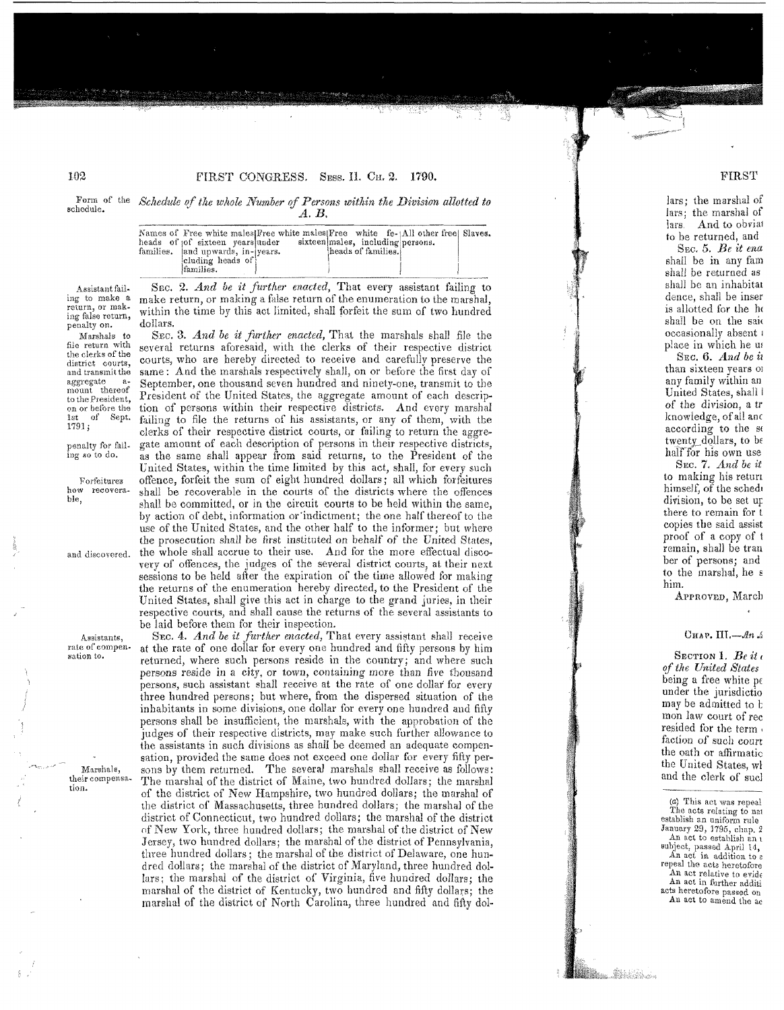Form of the *Schedule of the whole Number of Persons within the Division allotted to* schodule. *A.B.* 

| heads of of sixteen years under  | Names of Free white males Free white males Free white fe-(All other free) Slaves. | sixteen males, including persons. |  |
|----------------------------------|-----------------------------------------------------------------------------------|-----------------------------------|--|
| families. and upwards, in-years. |                                                                                   | heads of families.                |  |
| cluding heads of<br>Ifamilies.   |                                                                                   |                                   |  |

Assistant fail-<br>ing to make a return, or making false return, penalty on.

Marshals to<br>file return with clerks of the district courts, and transmit tho aggregate amount thereof<br>to the President. on or before the Sept. lst of 1791;

penalty for failing so to do.

Forfeitures how recovera· ble,

and discovered.

Assistants, rate of compensation to.

Marshals, their compensation.

SEC. 2. *And be it further enacted*. That every assistant failing to make return, or making a false return of the enumeration to the marshal, within the time by this act limited, shall forfeit the sum of two hundred dollars.

SEC. 3. *And be it further enacted,* That the marshals shall file the several returns aforesaid, with the clerks of their respective district courts, who are hereby directed to receive and carefullv preserve the same: And the marshals respectively shall, on or before the first day of September, one thousand seven hundred and ninety-one, transmit to the President of the United States, the aggregate amount of each description of persons within their respective districts. And every marshal failing to file the returns of his assistants, or any of them, with the clerks of their respective district courts, or failing to return the aggregate amount of each description of persons in their respective districts, as the same shall appear from said retnrns, to the President of the United States, within the time limited by this act, shall, for every such offence, forfeit the sum of eight hundred dollars; all which forteitures shall be recoverable in the courts of the districts where the offences shall be committed, or in the circuit courts to be held within the same, by action of debt, information or'indictment; the one half thereof to the use of the United States, and the other half to the informer; but where the prosecution shall be first instituted on behalf of the United States, the whole shall accrue to their usc. And for the more effectual discovery of offences, the judges of the several district courts, at their next sessions to be held after the expiration of the time allowed for making the returns of the enumeration hereby directed, to the President of the United States, shall give this act in charge to the grand juries, in their respective courts, and shall cause the returns of the several assistants to be laid before them for their inspection.

SEC. 4. *And be it further enacted*, That every assistant shall receive at the rate of one dollar for every ono hundred and fifty persons bv him returned, where such persons reside in the country; and where such persons reside in a city, or containing more than five thousand persons, such assistant shall receive at the rate of one dollar for every three hundred persons; but where, from the dispersed situation of the inhabitants in some divisions, one dollar for every one hundred and fifty persons shall be insnfficient, the marshals, with the approbation of the judges of their respective districts, may make such further allowance to the assistants in such divisions as shall be deemed an adequate compensation, provided the same does not exceed one dollar for every fifty persons by them returned. The several marshals shall receive as follows: The marshal of the district of Maine, two hundred dollars; the marshal of the district of New Hampshire, two hundred dollars; the marshal of the district of Massachusetts, three hundred dollars; the marshal of the district of Connecticut, two hundred dollars; the marshal of the district of New York, three hundred dollars; the marshal of the district of New Jersey, two hundred dollars; the marshal of the district of Pennsvlvania three hundred dollars; the marshal of the district of Delaware, one hundred dollars; the marshal of the district of Maryland, three hundred dollars; the marshal of the district of Virginia, five hundred dollars; the marshal of the district of Kentucky, two hundred and fifty dollars; the marshal of the district of North Carolina, three hundred and fifty dol-